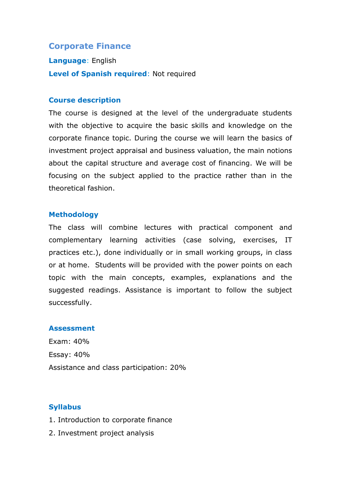# **Corporate Finance**

**Language**: English **Level of Spanish required**: Not required

#### **Course description**

The course is designed at the level of the undergraduate students with the objective to acquire the basic skills and knowledge on the corporate finance topic. During the course we will learn the basics of investment project appraisal and business valuation, the main notions about the capital structure and average cost of financing. We will be focusing on the subject applied to the practice rather than in the theoretical fashion.

#### **Methodology**

The class will combine lectures with practical component and complementary learning activities (case solving, exercises, IT practices etc.), done individually or in small working groups, in class or at home. Students will be provided with the power points on each topic with the main concepts, examples, explanations and the suggested readings. Assistance is important to follow the subject successfully.

#### **Assessment**

Exam: 40% Essay: 40% Assistance and class participation: 20%

#### **Syllabus**

- 1. Introduction to corporate finance
- 2. Investment project analysis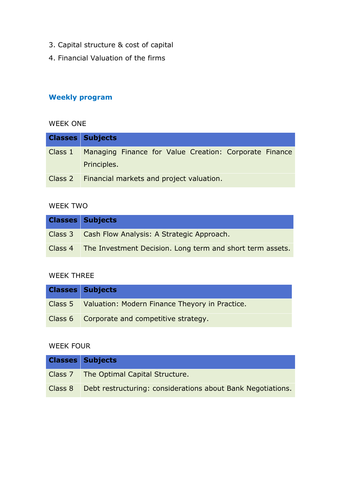- 3. Capital structure & cost of capital
- 4. Financial Valuation of the firms

# **Weekly program**

## WEEK ONE

| <b>Classes Subjects</b>                                        |
|----------------------------------------------------------------|
| Class 1 Managing Finance for Value Creation: Corporate Finance |
| Principles.                                                    |
| Class 2 Financial markets and project valuation.               |

## WEEK TWO

| <b>Classes Subjects</b>                                           |
|-------------------------------------------------------------------|
| Class 3 Cash Flow Analysis: A Strategic Approach.                 |
| Class 4 The Investment Decision. Long term and short term assets. |

### WEEK THREE

| <b>Classes Subjects</b>                                |
|--------------------------------------------------------|
| Class 5 Valuation: Modern Finance Theyory in Practice. |
| Class 6 Corporate and competitive strategy.            |

## WEEK FOUR

|         | <b>Classes Subjects</b>                                     |
|---------|-------------------------------------------------------------|
|         | Class 7   The Optimal Capital Structure.                    |
| Class 8 | Debt restructuring: considerations about Bank Negotiations. |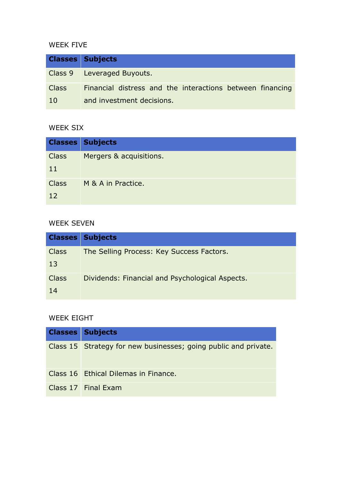## WEEK FIVE

|              | <b>Classes Subjects</b>                                   |
|--------------|-----------------------------------------------------------|
|              | Class 9 Leveraged Buyouts.                                |
| <b>Class</b> | Financial distress and the interactions between financing |
| <b>10</b>    | and investment decisions.                                 |

### WEEK SIX

|              | <b>Classes Subjects</b> |
|--------------|-------------------------|
| <b>Class</b> | Mergers & acquisitions. |
| 11           |                         |
| <b>Class</b> | M & A in Practice.      |
| 12           |                         |

## WEEK SEVEN

|                    | <b>Classes Subjects</b>                         |
|--------------------|-------------------------------------------------|
| <b>Class</b><br>13 | The Selling Process: Key Success Factors.       |
| <b>Class</b><br>14 | Dividends: Financial and Psychological Aspects. |

# WEEK EIGHT

| <b>Classes Subjects</b>                                         |
|-----------------------------------------------------------------|
| Class 15 Strategy for new businesses; going public and private. |
| Class 16 Ethical Dilemas in Finance.                            |
| Class 17 Final Exam                                             |